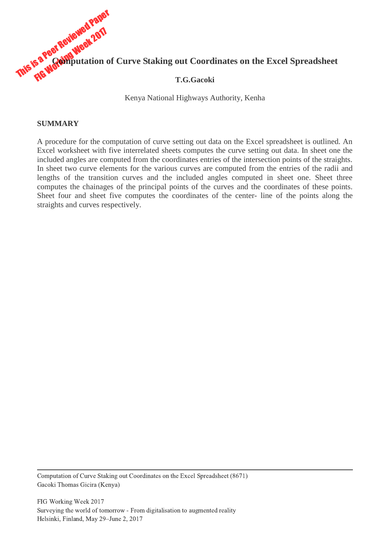

Kenya National Highways Authority, Kenha

#### **SUMMARY**

A procedure for the computation of curve setting out data on the Excel spreadsheet is outlined. An Excel worksheet with five interrelated sheets computes the curve setting out data. In sheet one the included angles are computed from the coordinates entries of the intersection points of the straights. In sheet two curve elements for the various curves are computed from the entries of the radii and lengths of the transition curves and the included angles computed in sheet one. Sheet three computes the chainages of the principal points of the curves and the coordinates of these points. Sheet four and sheet five computes the coordinates of the center- line of the points along the straights and curves respectively.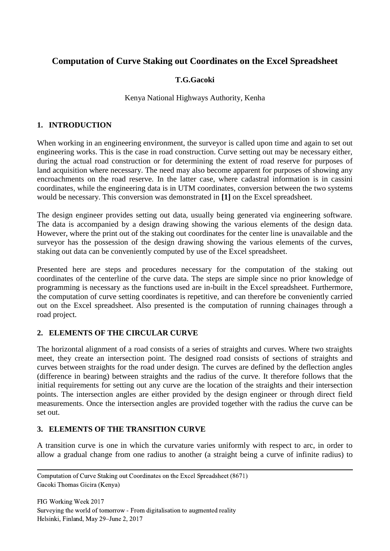# **Computation of Curve Staking out Coordinates on the Excel Spreadsheet**

# **T.G.Gacoki**

### Kenya National Highways Authority, Kenha

# **1. INTRODUCTION**

When working in an engineering environment, the surveyor is called upon time and again to set out engineering works. This is the case in road construction. Curve setting out may be necessary either, during the actual road construction or for determining the extent of road reserve for purposes of land acquisition where necessary. The need may also become apparent for purposes of showing any encroachments on the road reserve. In the latter case, where cadastral information is in cassini coordinates, while the engineering data is in UTM coordinates, conversion between the two systems would be necessary. This conversion was demonstrated in **[1]** on the Excel spreadsheet.

The design engineer provides setting out data, usually being generated via engineering software. The data is accompanied by a design drawing showing the various elements of the design data. However, where the print out of the staking out coordinates for the center line is unavailable and the surveyor has the possession of the design drawing showing the various elements of the curves, staking out data can be conveniently computed by use of the Excel spreadsheet.

Presented here are steps and procedures necessary for the computation of the staking out coordinates of the centerline of the curve data. The steps are simple since no prior knowledge of programming is necessary as the functions used are in-built in the Excel spreadsheet. Furthermore, the computation of curve setting coordinates is repetitive, and can therefore be conveniently carried out on the Excel spreadsheet. Also presented is the computation of running chainages through a road project.

### **2. ELEMENTS OF THE CIRCULAR CURVE**

The horizontal alignment of a road consists of a series of straights and curves. Where two straights meet, they create an intersection point. The designed road consists of sections of straights and curves between straights for the road under design. The curves are defined by the deflection angles (difference in bearing) between straights and the radius of the curve. It therefore follows that the initial requirements for setting out any curve are the location of the straights and their intersection points. The intersection angles are either provided by the design engineer or through direct field measurements. Once the intersection angles are provided together with the radius the curve can be set out.

### **3. ELEMENTS OF THE TRANSITION CURVE**

A transition curve is one in which the curvature varies uniformly with respect to arc, in order to allow a gradual change from one radius to another (a straight being a curve of infinite radius) to

 Computation of Curve Staking out Coordinates on the Excel Spreadsheet (8671) Gacoki Thomas Gicira (Kenya)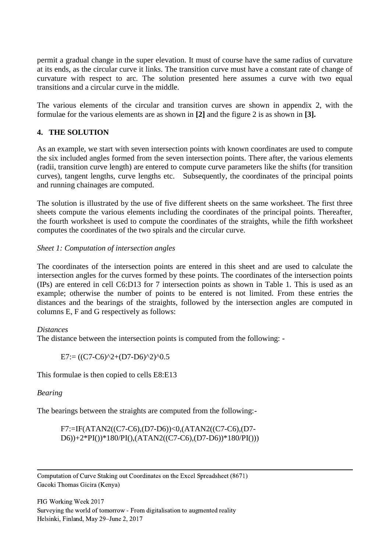permit a gradual change in the super elevation. It must of course have the same radius of curvature at its ends, as the circular curve it links. The transition curve must have a constant rate of change of curvature with respect to arc. The solution presented here assumes a curve with two equal transitions and a circular curve in the middle.

The various elements of the circular and transition curves are shown in appendix 2, with the formulae for the various elements are as shown in **[2]** and the figure 2 is as shown in **[3].**

# **4. THE SOLUTION**

As an example, we start with seven intersection points with known coordinates are used to compute the six included angles formed from the seven intersection points. There after, the various elements (radii, transition curve length) are entered to compute curve parameters like the shifts (for transition curves), tangent lengths, curve lengths etc. Subsequently, the coordinates of the principal points and running chainages are computed.

The solution is illustrated by the use of five different sheets on the same worksheet. The first three sheets compute the various elements including the coordinates of the principal points. Thereafter, the fourth worksheet is used to compute the coordinates of the straights, while the fifth worksheet computes the coordinates of the two spirals and the circular curve.

### *Sheet 1: Computation of intersection angles*

The coordinates of the intersection points are entered in this sheet and are used to calculate the intersection angles for the curves formed by these points. The coordinates of the intersection points (IPs) are entered in cell C6:D13 for 7 intersection points as shown in Table 1. This is used as an example; otherwise the number of points to be entered is not limited. From these entries the distances and the bearings of the straights, followed by the intersection angles are computed in columns E, F and G respectively as follows:

### *Distances*

The distance between the intersection points is computed from the following: -

$$
E7 = ((C7-C6)^{2} + (D7-D6)^{2})^{0.5}
$$

This formulae is then copied to cells E8:E13

### *Bearing*

The bearings between the straights are computed from the following:-

F7:=IF(ATAN2((C7-C6),(D7-D6))<0,(ATAN2((C7-C6),(D7- D6))+2\*PI())\*180/PI(),(ATAN2((C7-C6),(D7-D6))\*180/PI()))

 Computation of Curve Staking out Coordinates on the Excel Spreadsheet (8671) Gacoki Thomas Gicira (Kenya)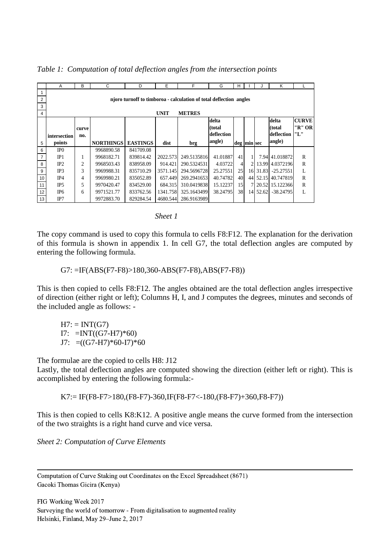|                | A                                                                  | B              | C                | D               | E        | F            | G          | н           |                |          | Κ                  |              |  |  |
|----------------|--------------------------------------------------------------------|----------------|------------------|-----------------|----------|--------------|------------|-------------|----------------|----------|--------------------|--------------|--|--|
|                |                                                                    |                |                  |                 |          |              |            |             |                |          |                    |              |  |  |
| 2              | njoro turnoff to timboroa - calculation of total deflection angles |                |                  |                 |          |              |            |             |                |          |                    |              |  |  |
| 3              |                                                                    |                |                  |                 |          |              |            |             |                |          |                    |              |  |  |
| 4              | <b>UNIT</b><br><b>METRES</b>                                       |                |                  |                 |          |              |            |             |                |          |                    |              |  |  |
|                |                                                                    |                |                  |                 |          |              | delta      |             |                |          | delta              | <b>CURVE</b> |  |  |
|                |                                                                    | curve          |                  |                 |          |              | (total     |             |                |          | (total)            | "R"OR"       |  |  |
|                | intersection                                                       | no.            |                  |                 |          |              | deflection |             |                |          | deflection         | "L"          |  |  |
| 5              | points                                                             |                | <b>NORTHINGS</b> | <b>EASTINGS</b> | dist     | brg          | angle)     | deg min sec |                |          | angle)             |              |  |  |
| 6              | IP <sub>0</sub>                                                    |                | 9968890.58       | 841709.08       |          |              |            |             |                |          |                    |              |  |  |
| $\overline{7}$ | IP1                                                                | -1             | 9968182.71       | 839814.42       | 2022.573 | 249.5135816  | 41.01887   | 41          |                |          | 7.94 41.018872     | R            |  |  |
| 8              | IP2                                                                | $\overline{2}$ | 9968503.43       | 838958.09       | 914.421  | 290.5324531  | 4.03722    | 4           | $\overline{2}$ |          | 13.99 4.0372196    | R            |  |  |
| 9              | IP <sub>3</sub>                                                    | 3              | 9969988.31       | 835710.29       | 3571.145 | 294.5696728  | 25.27551   | 25          |                | 16 31.83 | $-25.27551$        | $\mathbf{L}$ |  |  |
| 10             | IP4                                                                | 4              | 9969980.21       | 835052.89       | 657.449  | 269.29416531 | 40.74782   | 40          |                |          | 44 52.15 40.747819 | R            |  |  |
| 11             | IP <sub>5</sub>                                                    | 5              | 9970420.47       | 834529.00       | 684.315  | 310.0419838  | 15.12237   | 15          |                |          | 7 20.52 15.122366  | $\mathbb{R}$ |  |  |
| 12             | IP <sub>6</sub>                                                    | 6              | 9971521.77       | 833762.56       | 1341.758 | 325.1643499  | 38.24795   | 38          |                | 14 52.62 | -38.24795          | L            |  |  |
| 13             | IP7                                                                |                | 9972883.70       | 829284.54       | 4680.544 | 286.9163989  |            |             |                |          |                    |              |  |  |

*Table 1: Computation of total deflection angles from the intersection points*

| <i><b>Sheet</b></i> |  |
|---------------------|--|
|---------------------|--|

The copy command is used to copy this formula to cells F8:F12. The explanation for the derivation of this formula is shown in appendix 1. In cell G7, the total deflection angles are computed by entering the following formula.

G7: =IF(ABS(F7-F8)>180,360-ABS(F7-F8),ABS(F7-F8))

This is then copied to cells F8:F12. The angles obtained are the total deflection angles irrespective of direction (either right or left); Columns H, I, and J computes the degrees, minutes and seconds of the included angle as follows: -

 $H7: = INT(G7)$ I7:  $=INT((G7-H7)*60)$ J7:  $=(\text{(G7-H7)}*60\text{-}17)*60$ 

The formulae are the copied to cells H8: J12

Lastly, the total deflection angles are computed showing the direction (either left or right). This is accomplished by entering the following formula:-

 $K7:= IF(F8-F7>180,(F8-F7)-360,IF(F8-F7<-180,(F8-F7)+360,F8-F7))$ 

This is then copied to cells K8:K12. A positive angle means the curve formed from the intersection of the two straights is a right hand curve and vice versa.

*Sheet 2: Computation of Curve Elements*

 Computation of Curve Staking out Coordinates on the Excel Spreadsheet (8671) Gacoki Thomas Gicira (Kenya)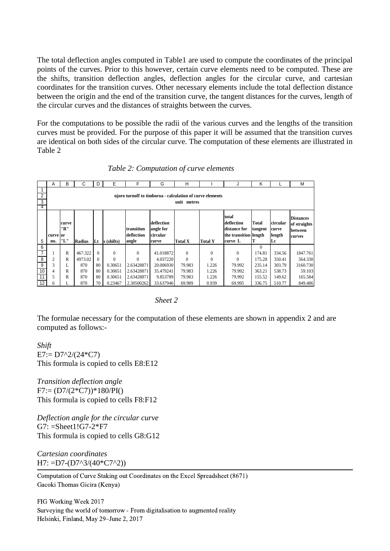The total deflection angles computed in Table1 are used to compute the coordinates of the principal points of the curves. Prior to this however, certain curve elements need to be computed. These are the shifts, transition deflection angles, deflection angles for the circular curve, and cartesian coordinates for the transition curves. Other necessary elements include the total deflection distance between the origin and the end of the transition curve, the tangent distances for the curves, length of the circular curves and the distances of straights between the curves.

For the computations to be possible the radii of the various curves and the lengths of the transition curves must be provided. For the purpose of this paper it will be assumed that the transition curves are identical on both sides of the circular curve. The computation of these elements are illustrated in Table 2

|                          | A                                                                                                                                                                                                                                    | B | C             | D        | E          | F            | G         | H            |                                                       | J            | Κ                  |        | M                                                    |
|--------------------------|--------------------------------------------------------------------------------------------------------------------------------------------------------------------------------------------------------------------------------------|---|---------------|----------|------------|--------------|-----------|--------------|-------------------------------------------------------|--------------|--------------------|--------|------------------------------------------------------|
| $\overline{2}$<br>3<br>4 | njoro turnoff to timboroa - calculation of curve elements<br>unit metres                                                                                                                                                             |   |               |          |            |              |           |              |                                                       |              |                    |        |                                                      |
|                          | total<br>deflection<br>circular<br>deflection<br>Total<br>curve<br>"R"<br>transition<br>angle for<br>distance for<br>tangent<br><b>lcurve</b><br>deflection<br>circular<br>the transition length<br>length<br>curve or<br>"L"<br>no. |   |               |          |            |              |           |              | <b>Distances</b><br>of straights<br>between<br>curves |              |                    |        |                                                      |
|                          |                                                                                                                                                                                                                                      |   |               |          |            |              |           |              |                                                       |              |                    |        |                                                      |
| 5                        |                                                                                                                                                                                                                                      |   | <b>Radius</b> | Lt       | s (shifts) | angle        | curve     | Total X      | Total Y                                               | curve L      |                    | Lc     |                                                      |
| 6<br>$\overline{7}$      |                                                                                                                                                                                                                                      | R | 467.322       | $\Omega$ | $\theta$   | $\mathbf{0}$ | 41.018872 | $\mathbf{0}$ | $\mathbf{0}$                                          | $\mathbf{0}$ | $\Omega$<br>174.81 | 334.56 |                                                      |
| 8                        | $\overline{c}$                                                                                                                                                                                                                       | R | 4973.02       | $\Omega$ | $\Omega$   | $\Omega$     | 4.037220  | $\Omega$     | $\theta$                                              | $\theta$     | 175.28             | 350.41 |                                                      |
| 9                        | 3                                                                                                                                                                                                                                    | L | 870           | 80       | 0.30651    | 2.63428871   | 20.006930 | 79.983       | 1.226                                                 | 79.992       | 235.14             | 303.79 |                                                      |
| 10                       | 4                                                                                                                                                                                                                                    | R | 870           | 80       | 0.30651    | 2.63428871   | 35.479241 | 79.983       | 1.226                                                 | 79.992       | 363.21             | 538.73 |                                                      |
| 11                       | 5                                                                                                                                                                                                                                    | R | 870           | 80       | 0.30651    | 2.63428871   | 9.853789  | 79.983       | 1.226                                                 | 79.992       | 155.52             | 149.62 | 1847.761<br>564.330<br>3160.730<br>59.103<br>165.584 |

#### *Table 2: Computation of curve elements*

#### *Sheet 2*

The formulae necessary for the computation of these elements are shown in appendix 2 and are computed as follows:-

*Shift*  $E7:= D7^2/(24*C7)$ This formula is copied to cells E8:E12

*Transition deflection angle*  $F7:=(D7/(2*C7))*180/PI()$ This formula is copied to cells F8:F12

*Deflection angle for the circular curve*  $G7: = Sheet1!G7-2*F7$ This formula is copied to cells G8:G12

*Cartesian coordinates*  $H7: =D7-(D7^{3}/(40*C7^{2}))$ 

 Computation of Curve Staking out Coordinates on the Excel Spreadsheet (8671) Gacoki Thomas Gicira (Kenya)

FIG Working Week 2017 Surveying the world of tomorrow - From digitalisation to augmented reality Helsinki, Finland, May 29–June 2, 2017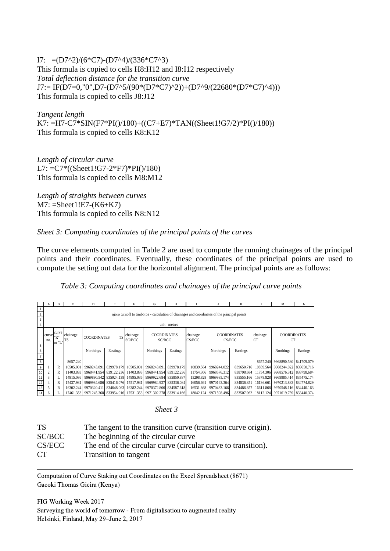I7:  $=(D7^2)/(6^*C7)-(D7^4)/(336^*C7^3)$ This formula is copied to cells H8:H12 and I8:I12 respectively *Total deflection distance for the transition curve*  $J7:= IF(D7=0,"0", D7-(D7^{6}/(90*(D7*C7)^{6}))+(D7^{6}/(22680*(D7*C7)^{6}))$ This formula is copied to cells J8:J12

*Tangent length* K7: =H7-C7\*SIN(F7\*PI()/180)+((C7+E7)\*TAN((Sheet1!G7/2)\*PI()/180)) This formula is copied to cells K8:K12

*Length of circular curve*  $L7: = C7*(Sheet1!G7-2*F7)*PI() / 180)$ This formula is copied to cells M8:M12

*Length of straights between curves*  $M7: = Sheet1!E7-(K6+K7)$ This formula is copied to cells N8:N12

*Sheet 3: Computing coordinates of the principal points of the curves*

The curve elements computed in Table 2 are used to compute the running chainages of the principal points and their coordinates. Eventually, these coordinates of the principal points are used to compute the setting out data for the horizontal alignment. The principal points are as follows:

*Table 3: Computing coordinates and chainages of the principal curve points*

|                                                                                                                                                        | Α                                                                                            | В                  | С                            | D                                                                 | Е              | F                         | G                      | н           |           |                       | Κ          |  | М                                           | N        |
|--------------------------------------------------------------------------------------------------------------------------------------------------------|----------------------------------------------------------------------------------------------|--------------------|------------------------------|-------------------------------------------------------------------|----------------|---------------------------|------------------------|-------------|-----------|-----------------------|------------|--|---------------------------------------------|----------|
| $\overline{2}$                                                                                                                                         | njoro turnoff to timboroa - calculation of chainages and coordinates of the principal points |                    |                              |                                                                   |                |                           |                        |             |           |                       |            |  |                                             |          |
| 3                                                                                                                                                      |                                                                                              |                    |                              |                                                                   |                |                           |                        |             |           |                       |            |  |                                             |          |
|                                                                                                                                                        |                                                                                              |                    |                              |                                                                   |                |                           |                        | unit metres |           |                       |            |  |                                             |          |
| curve<br>chainage<br><b>COORDINATES</b><br>chainage<br>curve<br><b>TS</b><br>"R"<br><b>COORDINATES</b><br>SC/BCC<br>SC/BCC<br>TS<br>no.<br>or "L'<br>5 |                                                                                              | chainage<br>CS/ECC | <b>COORDINATES</b><br>CS/ECC |                                                                   | chainage<br>CT | <b>COORDINATES</b><br>CT. |                        |             |           |                       |            |  |                                             |          |
| 6                                                                                                                                                      |                                                                                              |                    |                              | <b>Northings</b>                                                  | Eastings       |                           | <b>Northings</b>       | Eastings    |           | <b>Northings</b>      | Eastings   |  | Northings                                   | Eastings |
| 8                                                                                                                                                      |                                                                                              |                    | 8657.240                     |                                                                   |                |                           |                        |             |           |                       |            |  | 8657.240 9968890.580 841709.079             |          |
| $\mathsf g$                                                                                                                                            |                                                                                              | R                  | 10505.001                    | 9968243.891 839978.179                                            |                | 10505.001                 | 9968243.891 839978.179 |             | 10839.564 | 9968244.022           | 839650.716 |  | 10839.564 9968244.022 839650.716            |          |
| 10                                                                                                                                                     | $\overline{2}$                                                                               | R                  | 11403.893                    | 9968441.954 839122.236                                            |                | 11403.893                 | 9968441.954 839122.236 |             | 11754.306 | 9968576.312           | 838798.684 |  | 11754.306 9968576.312 838798.684            |          |
|                                                                                                                                                        | 3                                                                                            | L                  | 14915.036                    | 9969890.542 835924.138                                            |                | 14995.036                 | 9969922.684 835850.887 |             | 15298.828 | 9969985.174           | 835555.166 |  | 15378.828 9969985.414 835475.174            |          |
| 12                                                                                                                                                     | 4                                                                                            | R                  | 15437.931                    | 9969984.686 835416.076                                            |                | 15517.931                 | 9969984.927 835336.084 |             | 16056.661 | 9970163.364           | 834836.851 |  | 16136.661 9970213.883 834774.829            |          |
| 13                                                                                                                                                     |                                                                                              | R                  | 16302.244                    | 9970320.411                                                       | 834648.063     | 16382.244                 | 9970372.806 834587.618 |             | 16531.868 | 9970483.166           | 834486.857 |  | 16611.868 9970548.116 834440.163            |          |
| 14                                                                                                                                                     | 6                                                                                            |                    |                              | 17461.353 9971245.368 833954.916 17531.353 9971302.278 833914.166 |                |                           |                        |             |           | 18042.124 9971598.496 |            |  | 833507.062 18112.124 9971619.759 833440.374 |          |

*Sheet 3*

| <b>TS</b> | The tangent to the transition curve (transition curve origin). |
|-----------|----------------------------------------------------------------|
| SC/BCC    | The beginning of the circular curve                            |
| CS/ECC    | The end of the circular curve (circular curve to transition).  |
| CT.       | Transition to tangent                                          |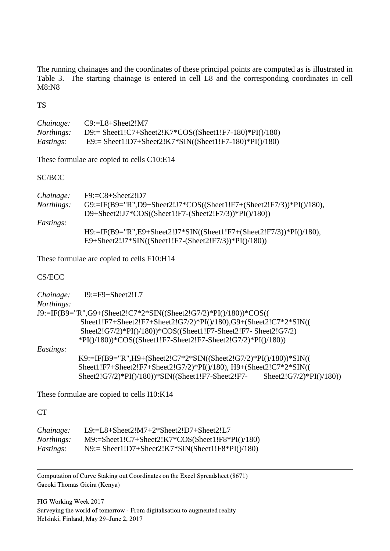The running chainages and the coordinates of these principal points are computed as is illustrated in Table 3. The starting chainage is entered in cell L8 and the corresponding coordinates in cell M8:N8

TS

| Chainage:         | $C9:=L8+Sheet2!M7$                                     |
|-------------------|--------------------------------------------------------|
| <i>Northings:</i> | D9:= Sheet1!C7+Sheet2!K7*COS((Sheet1!F7-180)*PI()/180) |
| <i>Eastings:</i>  | E9:= Sheet1!D7+Sheet2!K7*SIN((Sheet1!F7-180)*PI()/180) |

These formulae are copied to cells C10:E14

SC/BCC

| Chainage:        | $F9:=C8+Sheet2!D7$                                                  |
|------------------|---------------------------------------------------------------------|
| Northings:       | G9:=IF(B9="R",D9+Sheet2!J7*COS((Sheet1!F7+(Sheet2!F7/3))*PI()/180), |
|                  | D9+Sheet2!J7*COS((Sheet1!F7-(Sheet2!F7/3))*PI()/180))               |
| <i>Eastings:</i> |                                                                     |
|                  | H9:=IF(B9="R",E9+Sheet2!J7*SIN((Sheet1!F7+(Sheet2!F7/3))*PI()/180), |
|                  | E9+Sheet2!J7*SIN((Sheet1!F7-(Sheet2!F7/3))*PI()/180))               |

These formulae are copied to cells F10:H14

CS/ECC

| Chainage:  | $I9:=F9+Sheet2!L7$                                                  |  |
|------------|---------------------------------------------------------------------|--|
| Northings: |                                                                     |  |
|            | J9:=IF(B9="R",G9+(Sheet2!C7*2*SIN((Sheet2!G7/2)*PI()/180))*COS((    |  |
|            | Sheet1!F7+Sheet2!F7+Sheet2!G7/2)*PI()/180),G9+(Sheet2!C7*2*SIN((    |  |
|            | Sheet2!G7/2)*PI()/180))*COS((Sheet1!F7-Sheet2!F7- Sheet2!G7/2)      |  |
|            | $*PI()$ /180)) $*COS((Sheet1!F7-Sheet2!F7-Sheet2!G7/2)*PI()$ /180)) |  |
| Eastings:  |                                                                     |  |
|            | K9:=IF(B9="R",H9+(Sheet2!C7*2*SIN((Sheet2!G7/2)*PI()/180))*SIN((    |  |
|            | Sheet1!F7+Sheet2!F7+Sheet2!G7/2)*PI()/180), H9+(Sheet2!C7*2*SIN((   |  |

Sheet2!G7/2)\*PI()/180))\*SIN((Sheet1!F7-Sheet2!F7- Sheet2!G7/2)\*PI()/180))

These formulae are copied to cells I10:K14

**CT** 

| Chainage:         | L9: $=L8+Sheet2!M7+2*Sheet2!D7+Sheet2!L7$           |
|-------------------|-----------------------------------------------------|
| <i>Northings:</i> | $M9:=Sheet1!C7+Sheet2!K7*COS(Sheet1!F8*PI() /180)$  |
| <i>Eastings:</i>  | $N9$ := Sheet1!D7+Sheet2!K7*SIN(Sheet1!F8*PI()/180) |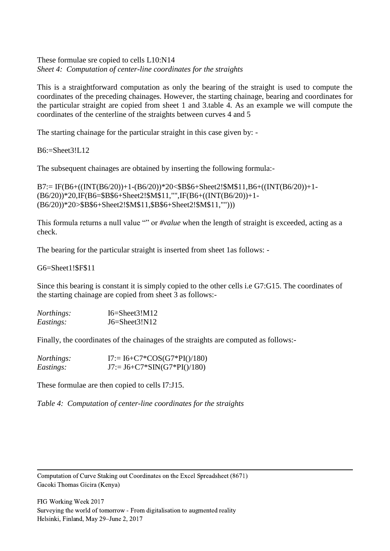These formulae sre copied to cells L10:N14 *Sheet 4: Computation of center-line coordinates for the straights*

This is a straightforward computation as only the bearing of the straight is used to compute the coordinates of the preceding chainages. However, the starting chainage, bearing and coordinates for the particular straight are copied from sheet 1 and 3.table 4. As an example we will compute the coordinates of the centerline of the straights between curves 4 and 5

The starting chainage for the particular straight in this case given by: -

B6:=Sheet3!L12

The subsequent chainages are obtained by inserting the following formula:-

```
B7:= IF(B6+((INT(B6/20))+1-(B6/20))*20<$B$6+Sheet2!$M$11,B6+((INT(B6/20))+1-
(B6/20))*20,IF(B6=$B$6+Sheet2!$M$11,"",IF(B6+((INT(B6/20))+1-
(B6/20))*20>$B$6+Sheet2!$M$11,$B$6+Sheet2!$M$11,"")))
```
This formula returns a null value "" or *#value* when the length of straight is exceeded, acting as a check.

The bearing for the particular straight is inserted from sheet 1as follows: -

G6=Sheet1!\$F\$11

Since this bearing is constant it is simply copied to the other cells i.e G7:G15. The coordinates of the starting chainage are copied from sheet 3 as follows:-

| Northings: | $I6 = Sheet3!M12$ |
|------------|-------------------|
| Eastings:  | $J6 = Sheet3!N12$ |

Finally, the coordinates of the chainages of the straights are computed as follows:-

| <i>Northings:</i> | $I7:= I6 + C7*COS(G7*PI() / 180)$  |
|-------------------|------------------------------------|
| <i>Eastings</i> : | $J7:= J6 + C7* SIN(G7*PI() / 180)$ |

These formulae are then copied to cells I7:J15.

*Table 4: Computation of center-line coordinates for the straights*

 Computation of Curve Staking out Coordinates on the Excel Spreadsheet (8671) Gacoki Thomas Gicira (Kenya)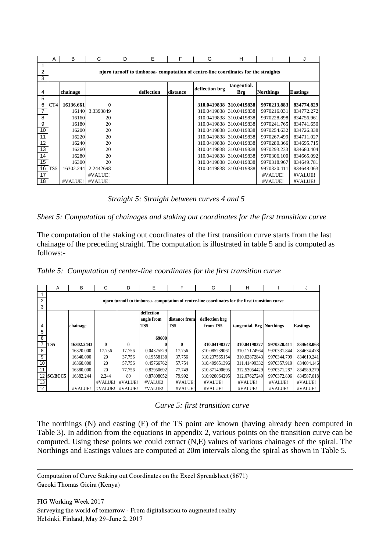|                 | A                                                                                   | B         | C         | D | Е          | F        | G              | н                       |                  | J               |  |  |  |
|-----------------|-------------------------------------------------------------------------------------|-----------|-----------|---|------------|----------|----------------|-------------------------|------------------|-----------------|--|--|--|
|                 |                                                                                     |           |           |   |            |          |                |                         |                  |                 |  |  |  |
| 2<br>3          | njoro turnoff to timboroa- computation of centre-line coordinates for the straights |           |           |   |            |          |                |                         |                  |                 |  |  |  |
|                 |                                                                                     |           |           |   |            |          |                |                         |                  |                 |  |  |  |
| 4               |                                                                                     | chainage  |           |   | deflection | distance | deflection brg | tangential.<br>Brg      | <b>Northings</b> | <b>Eastings</b> |  |  |  |
| 5               |                                                                                     |           |           |   |            |          |                |                         |                  |                 |  |  |  |
| 6               | CT4                                                                                 | 16136.661 | 0         |   |            |          |                | 310.0419838 310.0419838 | 9970213.883      | 834774.829      |  |  |  |
| $\overline{7}$  |                                                                                     | 16140     | 3.3393849 |   |            |          |                | 310.0419838 310.0419838 | 9970216.031      | 834772.272      |  |  |  |
| 8               |                                                                                     | 16160     | 20        |   |            |          |                | 310.0419838 310.0419838 | 9970228.898      | 834756.961      |  |  |  |
| 9               |                                                                                     | 16180     | 20        |   |            |          |                | 310.0419838 310.0419838 | 9970241.765      | 834741.650      |  |  |  |
| 10 <sup>1</sup> |                                                                                     | 16200     | 20        |   |            |          |                | 310.0419838 310.0419838 | 9970254.632      | 834726.338      |  |  |  |
| 11              |                                                                                     | 16220     | 20        |   |            |          |                | 310.0419838 310.0419838 | 9970267.499      | 834711.027      |  |  |  |
| $\overline{12}$ |                                                                                     | 16240     | 20        |   |            |          |                | 310.0419838 310.0419838 | 9970280.366      | 834695.715      |  |  |  |
| 13              |                                                                                     | 16260     | 20        |   |            |          |                | 310.0419838 310.0419838 | 9970293.233      | 834680.404      |  |  |  |
| 14              |                                                                                     | 16280     | 20        |   |            |          |                | 310.0419838 310.0419838 | 9970306.100      | 834665.092      |  |  |  |
| 15              |                                                                                     | 16300     | 20        |   |            |          |                | 310.0419838 310.0419838 | 9970318.967      | 834649.781      |  |  |  |
| 16              | TS5                                                                                 | 16302.244 | 2.2442698 |   |            |          |                | 310.0419838 310.0419838 | 9970320.411      | 834648.063      |  |  |  |
| 17              |                                                                                     |           | #VALUE!   |   |            |          |                |                         | #VALUE!          | #VALUE!         |  |  |  |
| 18              |                                                                                     | #VALUE!   | #VALUE!   |   |            |          |                |                         | #VALUE!          | #VALUE!         |  |  |  |

*Straight 5: Straight between curves 4 and 5*

*Sheet 5: Computation of chainages and staking out coordinates for the first transition curve*

The computation of the staking out coordinates of the first transition curve starts from the last chainage of the preceding straight. The computation is illustrated in table 5 and is computed as follows:-

| Table 5: Computation of center-line coordinates for the first transition curve |  |  |  |  |
|--------------------------------------------------------------------------------|--|--|--|--|
|                                                                                |  |  |  |  |

|                | A              | В          | С            | D            | E          | F             | G                                                                                                | н                         |             |                 |
|----------------|----------------|------------|--------------|--------------|------------|---------------|--------------------------------------------------------------------------------------------------|---------------------------|-------------|-----------------|
|                |                |            |              |              |            |               |                                                                                                  |                           |             |                 |
| $\overline{2}$ |                |            |              |              |            |               | njoro turnoff to timboroa- computation of centre-line coordinates for the first transition curve |                           |             |                 |
| 3              |                |            |              |              |            |               |                                                                                                  |                           |             |                 |
|                |                |            |              |              | deflection |               |                                                                                                  |                           |             |                 |
|                |                |            |              |              | angle from | distance from | deflection brg                                                                                   |                           |             |                 |
| 4              |                | chainage   |              |              | TS5        | TS5           | from TS5                                                                                         | tangential. Brg Northings |             | <b>Eastings</b> |
| 5              |                |            |              |              |            |               |                                                                                                  |                           |             |                 |
| 6              |                |            |              |              | 69600      |               |                                                                                                  |                           |             |                 |
| $\overline{7}$ | TS5            | 16302.2443 | $\mathbf{0}$ | $\mathbf{0}$ | 0          | 0             | 310.04198377                                                                                     | 310.04198377              | 9970320.411 | 834648.063      |
| 8              |                | 16320.000  | 17.756       | 17.756       | 0.04325529 | 17.756        | 310.085239061                                                                                    | 310.17174964              | 9970331.844 | 834634.478      |
| 9              |                | 16340.000  | 20           | 37.756       | 0.19558138 | 37.756        | 310.237565154                                                                                    | 310.62872843              | 9970344.799 | 834619.241      |
| 10             |                | 16360.000  | 20           | 57.756       | 0.45766762 | 57.754        | 310.499651396                                                                                    | 311.41499332              | 9970357.919 | 834604.146      |
| 11             |                | 16380.000  | 20           | 77.756       | 0.82950692 | 77.749        | 310.871490695                                                                                    | 312.53054429              | 9970371.287 | 834589.270      |
| 12             | <b>SC/BCC5</b> | 16382.244  | 2.244        | 80           | 0.87808052 | 79.992        | 310.920064295                                                                                    | 312.67627249              | 9970372.806 | 834587.618      |
| 13             |                |            | #VALUE!      | #VALUE!      | #VALUE!    | #VALUE!       | #VALUE!                                                                                          | #VALUE!                   | #VALUE!     | #VALUE!         |
| 14             |                | #VALUE!    | #VALUE!      | #VALUE!      | #VALUE!    | #VALUE!       | #VALUE!                                                                                          | #VALUE!                   | #VALUE!     | #VALUE!         |

#### *Curve 5: first transition curve*

The northings (N) and easting (E) of the TS point are known (having already been computed in Table 3). In addition from the equations in appendix 2, various points on the transition curve can be computed. Using these points we could extract (N,E) values of various chainages of the spiral. The Northings and Eastings values are computed at 20m intervals along the spiral as shown in Table 5.

 Computation of Curve Staking out Coordinates on the Excel Spreadsheet (8671) Gacoki Thomas Gicira (Kenya)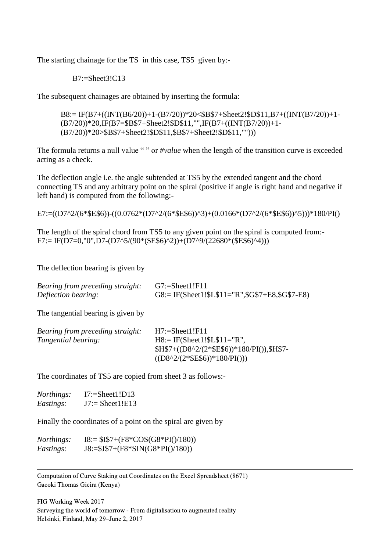The starting chainage for the TS in this case, TS5 given by:-

B7:=Sheet3!C13

The subsequent chainages are obtained by inserting the formula:

B8:= IF(B7+((INT(B6/20))+1-(B7/20))\*20<\$B\$7+Sheet2!\$D\$11,B7+((INT(B7/20))+1- (B7/20))\*20,IF(B7=\$B\$7+Sheet2!\$D\$11,"",IF(B7+((INT(B7/20))+1- (B7/20))\*20>\$B\$7+Sheet2!\$D\$11,\$B\$7+Sheet2!\$D\$11,"")))

The formula returns a null value " " or *#value* when the length of the transition curve is exceeded acting as a check.

The deflection angle i.e. the angle subtended at TS5 by the extended tangent and the chord connecting TS and any arbitrary point on the spiral (positive if angle is right hand and negative if left hand) is computed from the following:-

E7:=((D7^2/(6\*\$E\$6))-((0.0762\*(D7^2/(6\*\$E\$6))^3)+(0.0166\*(D7^2/(6\*\$E\$6))^5)))\*180/PI()

The length of the spiral chord from TS5 to any given point on the spiral is computed from:-  $F7:= IF(D7=0,"0", D7-(D7^{6}/90*(SE$6)^{6})+(D7^{6}/22680*(SE$6)^{4}))$ 

The deflection bearing is given by

| Bearing from preceding straight: | $G7:=Sheet1!F11$                                            |
|----------------------------------|-------------------------------------------------------------|
| Deflection bearing:              | $G8 := IF(Sheet1! \$L\$11 = "R", \$G\$7 + E8, \$G\$7 - E8)$ |

The tangential bearing is given by

| <b>Bearing from preceding straight:</b> | $H7:=Sheet1!F11$                      |
|-----------------------------------------|---------------------------------------|
| <i>Tangential bearing:</i>              | $H8 = IF(Sheet1! $L$ 11 = "R",$       |
|                                         | $$H$7+((D8^2/2^*E$6))*180/PI(),$H$7-$ |
|                                         | $((D8^22/(2^*SE\$6))^*180/PI())$      |

The coordinates of TS5 are copied from sheet 3 as follows:-

| <i>Northings:</i> | $I7:=Sheet1!D13$  |
|-------------------|-------------------|
| Eastings:         | $J7:=$ Sheet1!E13 |

Finally the coordinates of a point on the spiral are given by

| <i>Northings:</i> | $I8:= $I$7+(F8*COS(G8*PI() / 180))$ |
|-------------------|-------------------------------------|
| <i>Eastings:</i>  | $J8:=\$J\$7+(F8*SIN(G8*PI))/180)$   |

 Computation of Curve Staking out Coordinates on the Excel Spreadsheet (8671) Gacoki Thomas Gicira (Kenya)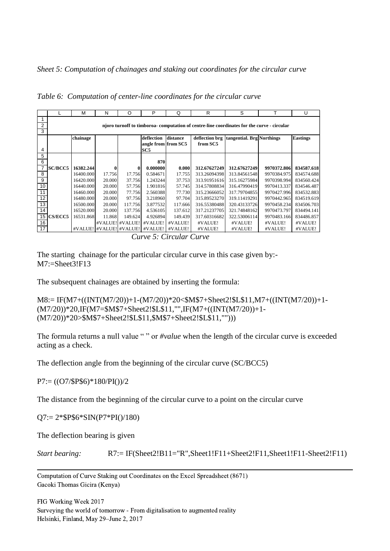*Sheet 5: Computation of chainages and staking out coordinates for the circular curve*

|                |                                                                                            | М         | N      | O                       | P                   | Q        | R            | S                                        |             | U               |
|----------------|--------------------------------------------------------------------------------------------|-----------|--------|-------------------------|---------------------|----------|--------------|------------------------------------------|-------------|-----------------|
|                |                                                                                            |           |        |                         |                     |          |              |                                          |             |                 |
| $\overline{2}$ | njoro turnoff to timboroa- computation of centre-line coordinates for the curve - circular |           |        |                         |                     |          |              |                                          |             |                 |
| 3              |                                                                                            |           |        |                         |                     |          |              |                                          |             |                 |
|                |                                                                                            | chainage  |        |                         | deflection          | distance |              | deflection brg tangential. Brg Northings |             | <b>Eastings</b> |
|                |                                                                                            |           |        |                         | angle from from SC5 |          | from SC5     |                                          |             |                 |
| 4              |                                                                                            |           |        |                         | SC <sub>5</sub>     |          |              |                                          |             |                 |
| 5              |                                                                                            |           |        |                         |                     |          |              |                                          |             |                 |
| 6              |                                                                                            |           |        |                         | 870                 |          |              |                                          |             |                 |
|                | <b>SC/BCC5</b>                                                                             | 16382.244 | 0      |                         | 0.000000            | 0.000    | 312.67627249 | 312.67627249                             | 9970372.806 | 834587.618      |
| 8              |                                                                                            | 16400.000 | 17.756 | 17.756                  | 0.584671            | 17.755   | 313.26094398 | 313.84561548                             | 9970384.975 | 834574.688      |
| 9              |                                                                                            | 16420.000 | 20,000 | 37.756                  | 1.243244            | 37.753   | 313.91951616 | 315.16275984                             | 9970398.994 | 834560.424      |
| 10             |                                                                                            | 16440.000 | 20,000 | 57.756                  | 1.901816            | 57.745   | 314.57808834 | 316.47990419                             | 9970413.337 | 834546.487      |
| 11             |                                                                                            | 16460.000 | 20.000 | 77.756                  | 2.560388            | 77.730   | 315.23666052 | 317.79704855                             | 9970427.996 | 834532.883      |
| 12             |                                                                                            | 16480.000 | 20.000 | 97.756                  | 3.218960            | 97.704   | 315.89523270 | 319.11419291                             | 9970442.965 | 834519.619      |
| 13             |                                                                                            | 16500.000 | 20.000 | 117.756                 | 3.877532            | 117.666  | 316.55380488 | 320.43133726                             | 9970458.234 | 834506.703      |
| 14             |                                                                                            | 16520.000 | 20.000 | 137.756                 | 4.536105            | 137.612  | 317.21237705 | 321.74848162                             | 9970473.797 | 834494.141      |
| 15             | <b>CS/ECC5</b>                                                                             | 16531.868 | 11.868 | 149.624                 | 4.926894            | 149.439  | 317.60316682 | 322.53006114                             | 9970483.166 | 834486.857      |
| 16             |                                                                                            |           |        | #VALUE! #VALUE!         | #VALUE!             | #VALUE!  | #VALUE!      | #VALUE!                                  | #VALUE!     | #VALUE!         |
| 17             |                                                                                            |           |        | #VALUE! #VALUE! #VALUE! | #VALUE!             | #VALUE!  | #VALUE!      | #VALUE!                                  | #VALUE!     | #VALUE!         |

*Table 6: Computation of center-line coordinates for the circular curve*

The starting chainage for the particular circular curve in this case given by:- M7:=Sheet3!F13

The subsequent chainages are obtained by inserting the formula:

M8:= IF(M7+((INT(M7/20))+1-(M7/20))\*20<\$M\$7+Sheet2!\$L\$11,M7+((INT(M7/20))+1- (M7/20))\*20,IF(M7=\$M\$7+Sheet2!\$L\$11,"",IF(M7+((INT(M7/20))+1- (M7/20))\*20>\$M\$7+Sheet2!\$L\$11,\$M\$7+Sheet2!\$L\$11,"")))

The formula returns a null value "" or *#value* when the length of the circular curve is exceeded acting as a check.

The deflection angle from the beginning of the circular curve (SC/BCC5)

P7:= ((O7/\$P\$6)\*180/PI())/2

The distance from the beginning of the circular curve to a point on the circular curve

Q7:= 2\*\$P\$6\*SIN(P7\*PI()/180)

The deflection bearing is given

```
Start bearing: R7:= IF(Sheet2!B11="R",Sheet1!F11+Sheet2!F11,Sheet1!F11-Sheet2!F11)
```
*Curve 5: Circular Curve*

 Computation of Curve Staking out Coordinates on the Excel Spreadsheet (8671) Gacoki Thomas Gicira (Kenya)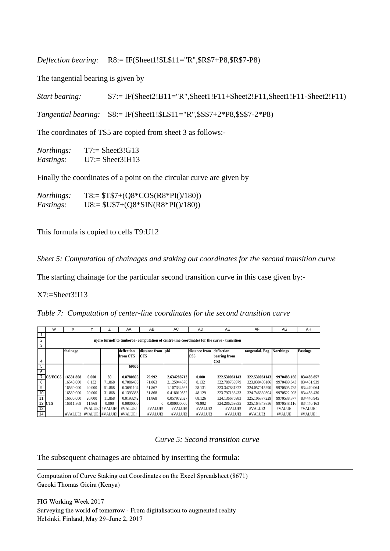*Deflection bearing:* R8:= IF(Sheet1!\$L\$11="R",\$R\$7+P8,\$R\$7-P8)

The tangential bearing is given by

*Start bearing:* S7:= IF(Sheet2!B11="R",Sheet1!F11+Sheet2!F11,Sheet1!F11-Sheet2!F11)

*Tangential bearing:* S8:= IF(Sheet1!\$L\$11="R",\$S\$7+2\*P8,\$S\$7-2\*P8)

The coordinates of TS5 are copied from sheet 3 as follows:-

| <i>Northings:</i> | $T7:=$ Sheet3!G13 |
|-------------------|-------------------|
| Eastings:         | $U7:=$ Sheet3!H13 |

Finally the coordinates of a point on the circular curve are given by

| <i>Northings:</i> | $T8 = ST$7+(Q8*COS(R8*PI))/180)$  |
|-------------------|-----------------------------------|
| <i>Eastings:</i>  | $U8 := $U$7+(Q8*SIN(R8*PI))/180)$ |

This formula is copied to cells T9:U12

*Sheet 5: Computation of chainages and staking out coordinates for the second transition curve*

The starting chainage for the particular second transition curve in this case given by:-

X7:=Sheet3!I13

*Table 7: Computation of center-line coordinates for the second transition curve*

|                | W                                                                                            | Χ                       |                 |        | AA         | AB                | AC          | <b>AD</b>       | AE            | AF                        | AG          | AH              |
|----------------|----------------------------------------------------------------------------------------------|-------------------------|-----------------|--------|------------|-------------------|-------------|-----------------|---------------|---------------------------|-------------|-----------------|
|                |                                                                                              |                         |                 |        |            |                   |             |                 |               |                           |             |                 |
| $\overline{2}$ | njoro turnoff to timboroa- computation of centre-line coordinates for the curve - transition |                         |                 |        |            |                   |             |                 |               |                           |             |                 |
| 3              |                                                                                              |                         |                 |        |            |                   |             |                 |               |                           |             |                 |
|                |                                                                                              | chainage                |                 |        | deflection | distance from phi |             | distance from   | deflection    | tangential. Brg Northings |             | <b>Eastings</b> |
|                |                                                                                              |                         |                 |        | from CT5   | CT5               |             | CS <sub>5</sub> | bearing from  |                           |             |                 |
| 4              |                                                                                              |                         |                 |        |            |                   |             |                 | CS5           |                           |             |                 |
| 5              |                                                                                              |                         |                 |        | 69600      |                   |             |                 |               |                           |             |                 |
| 6              |                                                                                              |                         |                 |        |            |                   |             |                 |               |                           |             |                 |
|                | <b>CS/ECC5</b>                                                                               | 16531.868               | 0.000           | 80     | 0.8780805  | 79.992            | 2.634288713 | 0.000           | 322.530061143 | 322.530061143             | 9970483.166 | 834486.857      |
| 8              |                                                                                              | 16540.000               | 8.132           | 71.868 | 0.7086400  | 71.863            | 2.125944670 | 8.132           | 322.788769979 | 323.038405186             | 9970489.643 | 834481.939      |
| $\overline{9}$ |                                                                                              | 16560.000               | 20,000          | 51.868 | 0.3691104  | 51.867            | 1.107334567 | 28.131          | 323.347831372 | 324.057015290             | 9970505.735 | 834470.064      |
| 10             |                                                                                              | 16580.000               | 20,000          | 31.868 | 0.1393368  | 31.868            | 0.418010552 | 48.129          | 323.797133433 | 324.746339304             | 9970522.003 | 834458.430      |
| 11             |                                                                                              | 16600.000               | 20,000          | 11.868 | 0.0193242  | 11.868            | 0.057972627 | 68.126          | 324.136676983 | 325.106377229             | 9970538.377 | 834446.945      |
|                | 12 CT5                                                                                       | 16611.868               | 11.868          | 0.000  | 0.0000000  |                   | 0.000000000 | 79.992          | 324.286269335 | 325.164349856             | 9970548.116 | 834440.163      |
| 13             |                                                                                              |                         | #VALUE! #VALUE! |        | #VALUE!    | #VALUE!           | #VALUE!     | #VALUE!         | #VALUE!       | #VALUE!                   | #VALUE!     | #VALUE!         |
| 14             |                                                                                              | #VALUE! #VALUE! #VALUE! |                 |        | #VALUE!    | #VALUE!           | #VALUE!     | #VALUE!         | #VALUE!       | #VALUE!                   | #VALUE!     | #VALUE!         |

*Curve 5: Second transition curve*

The subsequent chainages are obtained by inserting the formula:

 Computation of Curve Staking out Coordinates on the Excel Spreadsheet (8671) Gacoki Thomas Gicira (Kenya)

FIG Working Week 2017 Surveying the world of tomorrow - From digitalisation to augmented reality Helsinki, Finland, May 29–June 2, 2017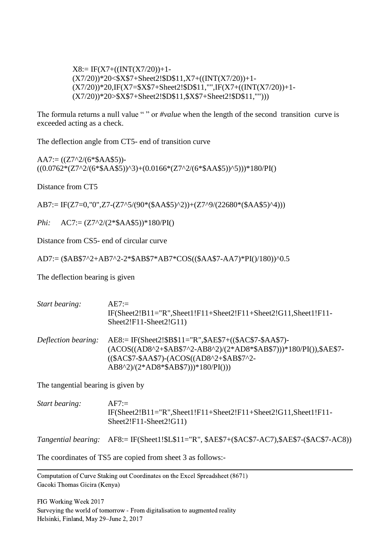$X8:= IF(X7+(INT(X7/20))+1 (X7/20)*20<\$X$7+Sheet2!$D$11,X7+((INT(X7/20))+1-$ (X7/20))\*20,IF(X7=\$X\$7+Sheet2!\$D\$11,"",IF(X7+((INT(X7/20))+1- (X7/20))\*20>\$X\$7+Sheet2!\$D\$11,\$X\$7+Sheet2!\$D\$11,"")))

The formula returns a null value "" or *#value* when the length of the second transition curve is exceeded acting as a check.

The deflection angle from CT5- end of transition curve

 $AA7:=(Z7^{2}/(6*\$AA\$5))$ - $((0.0762*(Z7^2/(6*\$AAS5))^3)+(0.0166*(Z7^2/(6*\$AAS5))^5)$ )\*180/PI()

Distance from CT5

AB7:= IF(Z7=0,"0",Z7-(Z7^5/(90\*(\$AA\$5)^2))+(Z7^9/(22680\*(\$AA\$5)^4)))

*Phi:* AC7:= (Z7^2/(2\*\$AA\$5))\*180/PI()

Distance from CS5- end of circular curve

AD7:= (\$AB\$7^2+AB7^2-2\*\$AB\$7\*AB7\*COS((\$AA\$7-AA7)\*PI()/180))^0.5

The deflection bearing is given

| Start bearing:      | $A E7:=$<br>$IF(Sheet2!B11="R", Sheet1!F11+Sheet2!F11+Sheet2!G11, Sheet1!F11-$<br>$Sheet2!F11-Sheet2!G11)$                                                                                                          |
|---------------------|---------------------------------------------------------------------------------------------------------------------------------------------------------------------------------------------------------------------|
| Deflection bearing: | $AE8$ := IF(Sheet2!\$B\$11="R",\$AE\$7+((\$AC\$7-\$AA\$7)-<br>(ACOS((AD8^2+\$AB\$7^2-AB8^2)/(2*AD8*\$AB\$7)))*180/PI()),\$AE\$7-<br>$(($AC$7-$AA$7)-(ACOS((AD8^2+$AB$7^2-$<br>$AB8^2/(2*AD8*\$AB\$7))$ * 180/PI())) |

The tangential bearing is given by

| Start bearing: | $AF7:=$                                                            |
|----------------|--------------------------------------------------------------------|
|                | $IF(Sheet2!B11="R", Sheet1!F11+Sheet2!F11+Sheet2!G11, Sheet1!F11-$ |
|                | $Sheet2!F11-Sheet2!G11)$                                           |
|                |                                                                    |

*Tangential bearing:* AF8:= IF(Sheet1!\$L\$11="R", \$AE\$7+(\$AC\$7-AC7),\$AE\$7-(\$AC\$7-AC8))

The coordinates of TS5 are copied from sheet 3 as follows:-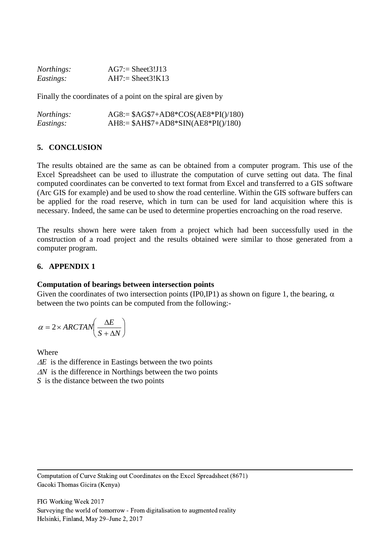| <i>Northings:</i> | $AG7 :=$ Sheet 3! J 13 |
|-------------------|------------------------|
| Eastings:         | $AH7:= Sheet3!K13$     |

Finally the coordinates of a point on the spiral are given by

| <i>Northings:</i> | $AG8 = $AG$7+AD8*COS(AE8*PI() / 180)$ |
|-------------------|---------------------------------------|
| <i>Eastings:</i>  | $AH8:= $AH$7+AD8*SIN(AE8*PI()180)$    |

#### **5. CONCLUSION**

The results obtained are the same as can be obtained from a computer program. This use of the Excel Spreadsheet can be used to illustrate the computation of curve setting out data. The final computed coordinates can be converted to text format from Excel and transferred to a GIS software (Arc GIS for example) and be used to show the road centerline. Within the GIS software buffers can be applied for the road reserve, which in turn can be used for land acquisition where this is necessary. Indeed, the same can be used to determine properties encroaching on the road reserve.

The results shown here were taken from a project which had been successfully used in the construction of a road project and the results obtained were similar to those generated from a computer program.

#### **6. APPENDIX 1**

#### **Computation of bearings between intersection points**

Given the coordinates of two intersection points (IP0,IP1) as shown on figure 1, the bearing,  $\alpha$ between the two points can be computed from the following:-

$$
\alpha = 2 \times \text{ARCHN}\left(\frac{\Delta E}{S + \Delta N}\right)
$$

Where

 $\Delta E$  is the difference in Eastings between the two points *AN* is the difference in Northings between the two points *S* is the distance between the two points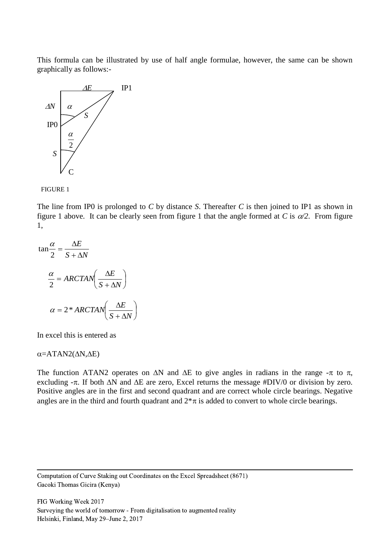This formula can be illustrated by use of half angle formulae, however, the same can be shown graphically as follows:-





The line from IP0 is prolonged to *C* by distance *S*. Thereafter *C* is then joined to IP1 as shown in figure 1 above. It can be clearly seen from figure 1 that the angle formed at *C* is  $\alpha/2$ . From figure 1,

$$
\tan\frac{\alpha}{2} = \frac{\Delta E}{S + \Delta N}
$$

$$
\frac{\alpha}{2} = ARCTAN\left(\frac{\Delta E}{S + \Delta N}\right)
$$

$$
\alpha = 2 * ARCTAN\left(\frac{\Delta E}{S + \Delta N}\right)
$$

In excel this is entered as

 $\alpha$ =ATAN2( $\Delta$ N, $\Delta$ E)

The function ATAN2 operates on  $\Delta N$  and  $\Delta E$  to give angles in radians in the range  $-\pi$  to  $\pi$ , excluding  $-\pi$ . If both  $\Delta N$  and  $\Delta E$  are zero, Excel returns the message #DIV/0 or division by zero. Positive angles are in the first and second quadrant and are correct whole circle bearings. Negative angles are in the third and fourth quadrant and  $2*\pi$  is added to convert to whole circle bearings.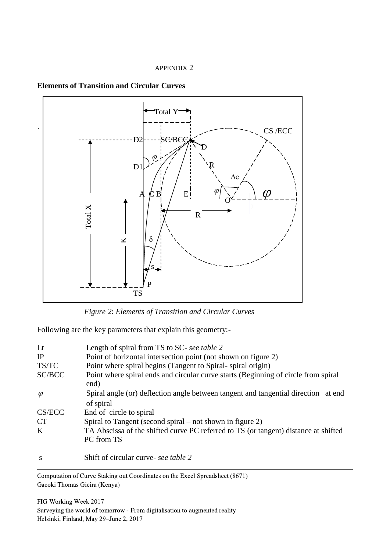#### APPENDIX 2





*Figure 2*: *Elements of Transition and Circular Curves*

Following are the key parameters that explain this geometry:-

| $Lt$      | Length of spiral from TS to SC- see table 2                                                       |
|-----------|---------------------------------------------------------------------------------------------------|
| IP        | Point of horizontal intersection point (not shown on figure 2)                                    |
| TS/TC     | Point where spiral begins (Tangent to Spiral-spiral origin)                                       |
| SC/BCC    | Point where spiral ends and circular curve starts (Beginning of circle from spiral<br>end)        |
| $\varphi$ | Spiral angle (or) deflection angle between tangent and tangential direction at end<br>of spiral   |
| CS/ECC    | End of circle to spiral                                                                           |
| <b>CT</b> | Spiral to Tangent (second spiral $-$ not shown in figure 2)                                       |
| K         | TA Abscissa of the shifted curve PC referred to TS (or tangent) distance at shifted<br>PC from TS |
| S         | Shift of circular curve- see table 2                                                              |

 Computation of Curve Staking out Coordinates on the Excel Spreadsheet (8671)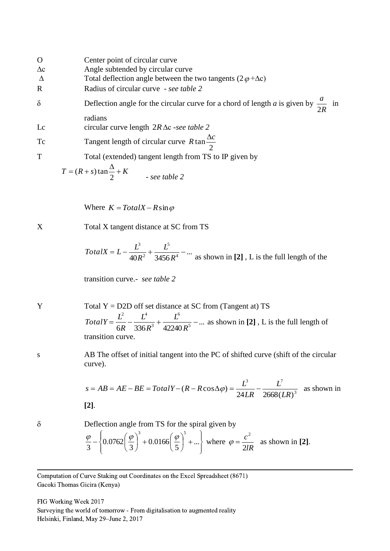| $\mathbf O$    | Center point of circular curve                                                                |
|----------------|-----------------------------------------------------------------------------------------------|
| $\Delta \rm c$ | Angle subtended by circular curve                                                             |
| $\Delta$       | Total deflection angle between the two tangents $(2 \varphi + \Delta c)$                      |
| $\mathbb{R}$   | Radius of circular curve - see table 2                                                        |
| $\delta$       | Deflection angle for the circular curve for a chord of length a is given by $\frac{a}{2R}$ in |
|                | radians                                                                                       |
| Lc             | circular curve length $2R\Delta c$ -see table 2                                               |
| Tc             | Tangent length of circular curve $R \tan \frac{\Delta c}{2}$                                  |
| T              | Total (extended) tangent length from TS to IP given by                                        |
|                | $T = (R + s) \tan \frac{\Delta}{2} + K$ - see table 2                                         |

Where  $K = TotalX - R \sin \varphi$ 

X Total X tangent distance at SC from TS

TotalX = 
$$
L - \frac{L^3}{40R^2} + \frac{L^5}{3456R^4} - \dots
$$
 as shown in [2], L is the full length of the

transition curve.- *see table 2*

Y Total Y = D2D off set distance at SC from (Tangent at) TS ... 6R 336 $R^3$  42240 $R^5$ 6 3 2  $I^4$  $=\frac{L}{1} - \frac{L}{2} + \frac{L}{1}$ *R L R L R*  $TotalY = \frac{L^2}{L} - \frac{L^4}{2(1.00 \times 10^{-5})^2} + \frac{L^6}{2(1.00 \times 10^{-5})^2} - \dots$  as shown in [2], L is the full length of transition curve.

s AB The offset of initial tangent into the PC of shifted curve (shift of the circular curve).

$$
s = AB = AE - BE = TotalY - (R - R\cos\Delta\varphi) = \frac{L^3}{24LR} - \frac{L^7}{2668(LR)^3}
$$
 as shown in [2].

 $\delta$  Deflection angle from TS for the spiral given by

$$
\frac{\varphi}{3} - \left\{ 0.0762 \left( \frac{\varphi}{3} \right)^3 + 0.0166 \left( \frac{\varphi}{5} \right)^5 + \dots \right\}
$$
 where  $\varphi = \frac{c^2}{2lR}$  as shown in [2].

 Computation of Curve Staking out Coordinates on the Excel Spreadsheet (8671) Gacoki Thomas Gicira (Kenya)